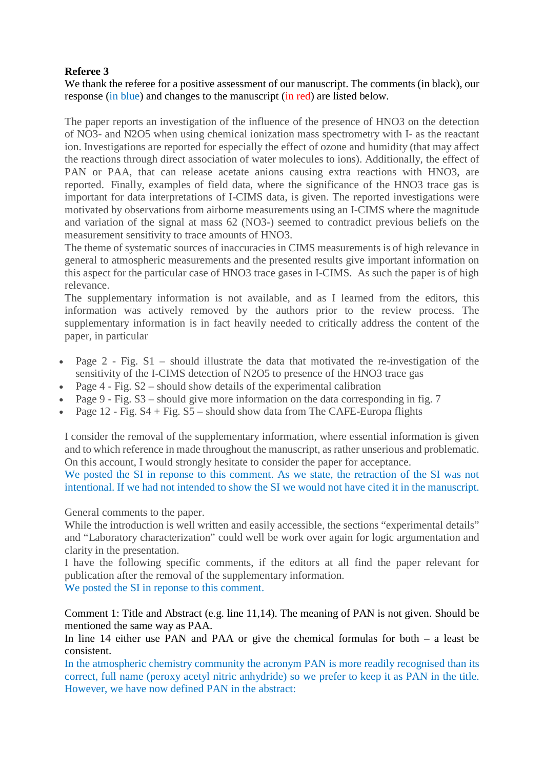## **Referee 3**

We thank the referee for a positive assessment of our manuscript. The comments (in black), our response (in blue) and changes to the manuscript (in red) are listed below.

The paper reports an investigation of the influence of the presence of HNO3 on the detection of NO3- and N2O5 when using chemical ionization mass spectrometry with I- as the reactant ion. Investigations are reported for especially the effect of ozone and humidity (that may affect the reactions through direct association of water molecules to ions). Additionally, the effect of PAN or PAA, that can release acetate anions causing extra reactions with HNO3, are reported. Finally, examples of field data, where the significance of the HNO3 trace gas is important for data interpretations of I-CIMS data, is given. The reported investigations were motivated by observations from airborne measurements using an I-CIMS where the magnitude and variation of the signal at mass 62 (NO3-) seemed to contradict previous beliefs on the measurement sensitivity to trace amounts of HNO3.

The theme of systematic sources of inaccuracies in CIMS measurements is of high relevance in general to atmospheric measurements and the presented results give important information on this aspect for the particular case of HNO3 trace gases in I-CIMS. As such the paper is of high relevance.

The supplementary information is not available, and as I learned from the editors, this information was actively removed by the authors prior to the review process. The supplementary information is in fact heavily needed to critically address the content of the paper, in particular

- Page 2 Fig. S1 should illustrate the data that motivated the re-investigation of the sensitivity of the I-CIMS detection of N2O5 to presence of the HNO3 trace gas
- Page  $4$  Fig.  $S2$  should show details of the experimental calibration
- Page 9 Fig.  $S3$  should give more information on the data corresponding in fig. 7
- Page 12 Fig.  $S4 + Fig. S5$  should show data from The CAFE-Europa flights

I consider the removal of the supplementary information, where essential information is given and to which reference in made throughout the manuscript, as rather unserious and problematic. On this account, I would strongly hesitate to consider the paper for acceptance.

We posted the SI in reponse to this comment. As we state, the retraction of the SI was not intentional. If we had not intended to show the SI we would not have cited it in the manuscript.

General comments to the paper.

While the introduction is well written and easily accessible, the sections "experimental details" and "Laboratory characterization" could well be work over again for logic argumentation and clarity in the presentation.

I have the following specific comments, if the editors at all find the paper relevant for publication after the removal of the supplementary information.

We posted the SI in reponse to this comment.

Comment 1: Title and Abstract (e.g. line 11,14). The meaning of PAN is not given. Should be mentioned the same way as PAA.

In line 14 either use PAN and PAA or give the chemical formulas for both – a least be consistent.

In the atmospheric chemistry community the acronym PAN is more readily recognised than its correct, full name (peroxy acetyl nitric anhydride) so we prefer to keep it as PAN in the title. However, we have now defined PAN in the abstract: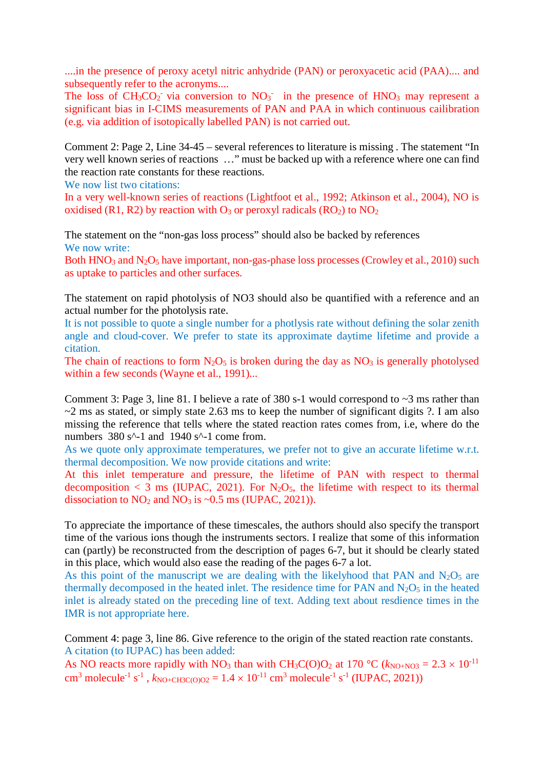....in the presence of peroxy acetyl nitric anhydride (PAN) or peroxyacetic acid (PAA).... and subsequently refer to the acronyms....

The loss of  $CH<sub>3</sub>CO<sub>2</sub>$  via conversion to  $NO<sub>3</sub>$  in the presence of  $HNO<sub>3</sub>$  may represent a significant bias in I-CIMS measurements of PAN and PAA in which continuous cailibration (e.g. via addition of isotopically labelled PAN) is not carried out.

Comment 2: Page 2, Line 34-45 – several references to literature is missing . The statement "In very well known series of reactions …" must be backed up with a reference where one can find the reaction rate constants for these reactions.

We now list two citations:

In a very well-known series of reactions (Lightfoot et al., 1992; Atkinson et al., 2004), NO is oxidised (R1, R2) by reaction with  $O_3$  or peroxyl radicals (RO<sub>2</sub>) to  $NO_2$ 

The statement on the "non-gas loss process" should also be backed by references We now write:

Both  $HNO<sub>3</sub>$  and  $N<sub>2</sub>O<sub>5</sub>$  have important, non-gas-phase loss processes (Crowley et al., 2010) such as uptake to particles and other surfaces.

The statement on rapid photolysis of NO3 should also be quantified with a reference and an actual number for the photolysis rate.

It is not possible to quote a single number for a photlysis rate without defining the solar zenith angle and cloud-cover. We prefer to state its approximate daytime lifetime and provide a citation.

The chain of reactions to form  $N_2O_5$  is broken during the day as  $NO_3$  is generally photolysed within a few seconds (Wayne et al., 1991)...

Comment 3: Page 3, line 81. I believe a rate of 380 s-1 would correspond to  $\sim$ 3 ms rather than  $\sim$ 2 ms as stated, or simply state 2.63 ms to keep the number of significant digits ?. I am also missing the reference that tells where the stated reaction rates comes from, i.e, where do the numbers  $380 s^2$ -1 and  $1940 s^2$ -1 come from.

As we quote only approximate temperatures, we prefer not to give an accurate lifetime w.r.t. thermal decomposition. We now provide citations and write:

At this inlet temperature and pressure, the lifetime of PAN with respect to thermal decomposition  $\langle 3 \rangle$  ms (IUPAC, 2021). For N<sub>2</sub>O<sub>5</sub>, the lifetime with respect to its thermal dissociation to  $NO_2$  and  $NO_3$  is ~0.5 ms (IUPAC, 2021)).

To appreciate the importance of these timescales, the authors should also specify the transport time of the various ions though the instruments sectors. I realize that some of this information can (partly) be reconstructed from the description of pages 6-7, but it should be clearly stated in this place, which would also ease the reading of the pages 6-7 a lot.

As this point of the manuscript we are dealing with the likelyhood that PAN and  $N_2O_5$  are thermally decomposed in the heated inlet. The residence time for PAN and  $N_2O_5$  in the heated inlet is already stated on the preceding line of text. Adding text about resdience times in the IMR is not appropriate here.

Comment 4: page 3, line 86. Give reference to the origin of the stated reaction rate constants. A citation (to IUPAC) has been added:

As NO reacts more rapidly with NO<sub>3</sub> than with CH<sub>3</sub>C(O)O<sub>2</sub> at 170 °C ( $k_{\text{NO+NO3}} = 2.3 \times 10^{-11}$ ) cm<sup>3</sup> molecule<sup>-1</sup> s<sup>-1</sup>,  $k_{\text{NO+CH3C(O)O2}} = 1.4 \times 10^{-11} \text{ cm}^3 \text{ molecule}^{-1} \text{ s}^{-1}$  (IUPAC, 2021))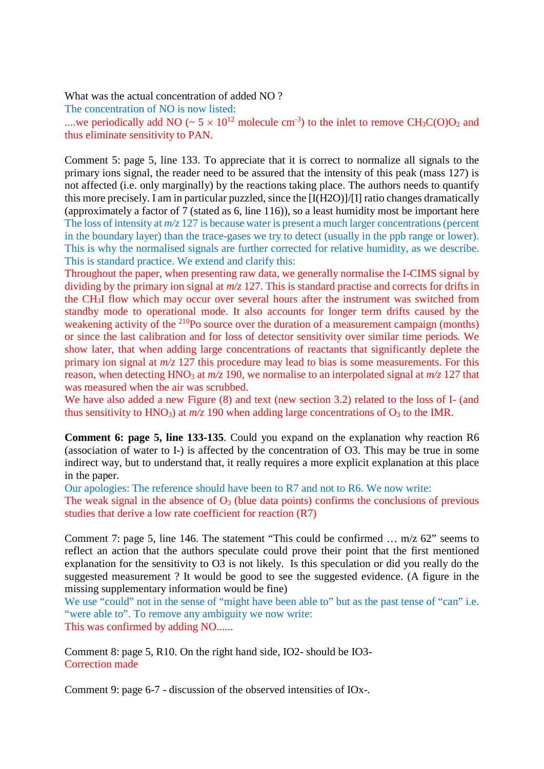What was the actual concentration of added NO ?

The concentration of NO is now listed:

....we periodically add NO ( $\sim 5 \times 10^{12}$  molecule cm<sup>-3</sup>) to the inlet to remove CH<sub>3</sub>C(O)O<sub>2</sub> and thus eliminate sensitivity to PAN.

Comment 5: page 5, line 133. To appreciate that it is correct to normalize all signals to the primary ions signal, the reader need to be assured that the intensity of this peak (mass 127) is not affected (i.e. only marginally) by the reactions taking place. The authors needs to quantify this more precisely. I am in particular puzzled, since the [I(H2O)]/[I] ratio changes dramatically (approximately a factor of 7 (stated as 6, line 116)), so a least humidity most be important here The loss of intensity at  $m/z$  127 is because water is present a much larger concentrations (percent in the boundary layer) than the trace-gases we try to detect (usually in the ppb range or lower). This is why the normalised signals are further corrected for relative humidity, as we describe. This is standard practice. We extend and clarify this:

Throughout the paper, when presenting raw data, we generally normalise the I-CIMS signal by dividing by the primary ion signal at *m/z* 127. This is standard practise and corrects for drifts in the CH3I flow which may occur over several hours after the instrument was switched from standby mode to operational mode. It also accounts for longer term drifts caused by the weakening activity of the <sup>210</sup>Po source over the duration of a measurement campaign (months) or since the last calibration and for loss of detector sensitivity over similar time periods. We show later, that when adding large concentrations of reactants that significantly deplete the primary ion signal at *m/z* 127 this procedure may lead to bias is some measurements. For this reason, when detecting HNO<sub>3</sub> at  $m/z$  190, we normalise to an interpolated signal at  $m/z$  127 that was measured when the air was scrubbed.

We have also added a new Figure  $(8)$  and text (new section 3.2) related to the loss of I- (and thus sensitivity to HNO<sub>3</sub>) at  $m/z$  190 when adding large concentrations of O<sub>3</sub> to the IMR.

**Comment 6: page 5, line 133-135**. Could you expand on the explanation why reaction R6 (association of water to I-) is affected by the concentration of O3. This may be true in some indirect way, but to understand that, it really requires a more explicit explanation at this place in the paper.

Our apologies: The reference should have been to R7 and not to R6. We now write:

The weak signal in the absence of  $O_3$  (blue data points) confirms the conclusions of previous studies that derive a low rate coefficient for reaction (R7)

Comment 7: page 5, line 146. The statement "This could be confirmed … m/z 62" seems to reflect an action that the authors speculate could prove their point that the first mentioned explanation for the sensitivity to O3 is not likely. Is this speculation or did you really do the suggested measurement ? It would be good to see the suggested evidence. (A figure in the missing supplementary information would be fine)

We use "could" not in the sense of "might have been able to" but as the past tense of "can" i.e. "were able to". To remove any ambiguity we now write: This was confirmed by adding NO......

Comment 8: page 5, R10. On the right hand side, IO2- should be IO3- Correction made

Comment 9: page 6-7 - discussion of the observed intensities of IOx-.